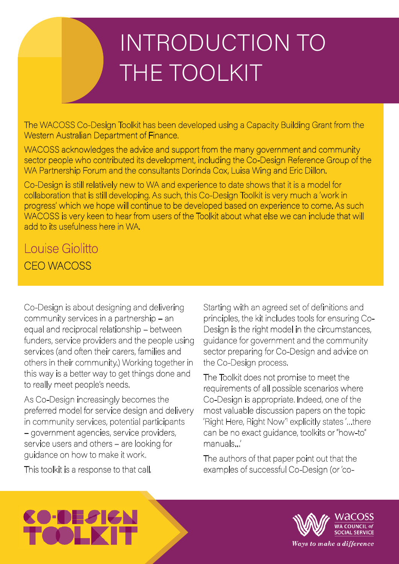## INTRODUCTION TO THE TOOLKIT

The WACOSS Co-Design Toolkit has been developed using a Capacity Building Grant from the Western Australian Department of Finance.

WACOSS acknowledges the advice and support from the many government and community sector people who contributed its development, including the Co-Design Reference Group of the WA Partnership Forum and the consultants Dorinda Cox, Luisa Wing and Eric Dillon.

Co-Design is still relatively new to WA and experience to date shows that it is a model for collaboration that is still developing. As such, this Co-Design Toolkit is very much a 'work in progress' which we hope will continue to be developed based on experience to come. As such WACOSS is very keen to hear from users of the Toolkit about what else we can include that will add to its usefulness here in WA.

## Louise Giolitto CEO WACOSS

Co-Design is about designing and delivering community services in a partnership – an equal and reciprocal relationship – between funders, service providers and the people using services (and often their carers, families and others in their community.) Working together in this way is a better way to get things done and to really meet people's needs.

As Co-Design increasingly becomes the preferred model for service design and delivery in community services, potential participants – government agencies, service providers, service users and others – are looking for guidance on how to make it work.

This toolkit is a response to that call.

Starting with an agreed set of definitions and principles, the kit includes tools for ensuring Co-Design is the right model in the circumstances, guidance for government and the community sector preparing for Co-Design and advice on the Co-Design process.

The Toolkit does not promise to meet the requirements of all possible scenarios where Co-Design is appropriate. Indeed, one of the most valuable discussion papers on the topic 'Right Here, Right Now'' explicitly states '...there can be no exact guidance, toolkits or "how-to" manuals…'

The authors of that paper point out that the examples of successful Co-Design (or 'co-

## $\blacksquare$